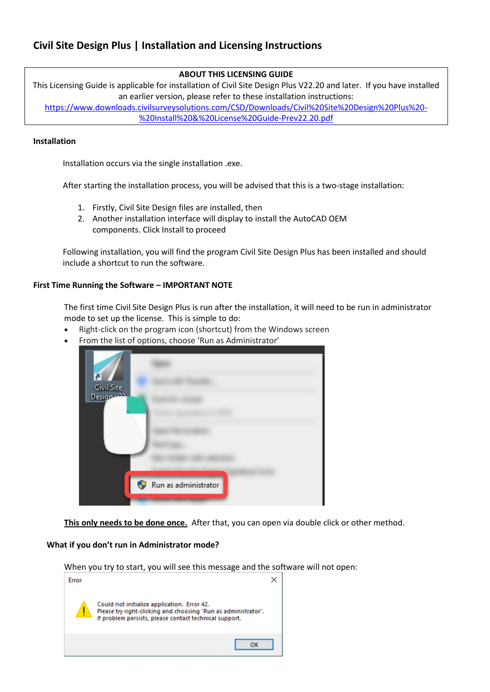# **ABOUT THIS LICENSING GUIDE**

This Licensing Guide is applicable for installation of Civil Site Design Plus V22.20 and later. If you have installed an earlier version, please refer to these installation instructions:

[https://www.downloads.civilsurveysolutions.com/CSD/Downloads/Civil%20Site%20Design%20Plus%20-](https://www.downloads.civilsurveysolutions.com/CSD/Downloads/Civil%20Site%20Design%20Plus%20-%20Install%20&%20License%20Guide-Prev22.20.pdf) [%20Install%20&%20License%20Guide-Prev22.20.pdf](https://www.downloads.civilsurveysolutions.com/CSD/Downloads/Civil%20Site%20Design%20Plus%20-%20Install%20&%20License%20Guide-Prev22.20.pdf)

### **Installation**

Installation occurs via the single installation .exe.

After starting the installation process, you will be advised that this is a two-stage installation:

- 1. Firstly, Civil Site Design files are installed, then
- 2. Another installation interface will display to install the AutoCAD OEM components. Click Install to proceed

Following installation, you will find the program Civil Site Design Plus has been installed and should include a shortcut to run the software.

## **First Time Running the Software – IMPORTANT NOTE**

The first time Civil Site Design Plus is run after the installation, it will need to be run in administrator mode to set up the license. This is simple to do:

- Right-click on the program icon (shortcut) from the Windows screen
- From the list of options, choose 'Run as Administrator'



**This only needs to be done once.** After that, you can open via double click or other method.

### **What if you don't run in Administrator mode?**

| Error | When you try to start, you will see this message and the software will not open:                                                                                        |
|-------|-------------------------------------------------------------------------------------------------------------------------------------------------------------------------|
|       | Could not initialize application. Error 42.<br>Please try right-clicking and choosing "Run as administrator".<br>If problem persists, please contact technical support. |
|       |                                                                                                                                                                         |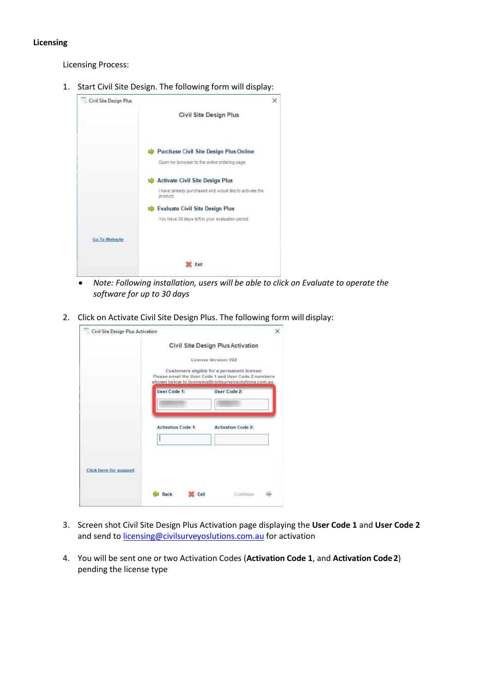### **Licensing**

Licensing Process:

1. Start Civil Site Design. The following form will display:



- *Note: Following installation, users will be able to click on Evaluate to operate the software for up to 30 days*
- 2. Click on Activate Civil Site Design Plus. The following form will display:

|                        |                           | Civil Site Design Plus Activation                                                                                                                            |
|------------------------|---------------------------|--------------------------------------------------------------------------------------------------------------------------------------------------------------|
|                        |                           | License Version: V22                                                                                                                                         |
|                        |                           | Customers eligible for a permanent license:<br>Please email the User Code 1 and User Code 2 numbers<br>shown below to licensing@civilsurveysolutions.com.au. |
|                        | User Code 1:              | User Code 2:                                                                                                                                                 |
|                        | <b>Activation Code 1:</b> | <b>Activation Code 2:</b>                                                                                                                                    |
|                        |                           |                                                                                                                                                              |
| Click here for support |                           |                                                                                                                                                              |

- 3. Screen shot Civil Site Design Plus Activation page displaying the **User Code 1** and **User Code 2**  and send t[o licensing@civilsurveyoslutions.com.au](mailto:licensing@civilsurveyoslutions.com.au) for activation
- 4. You will be sent one or two Activation Codes (**Activation Code 1**, and **Activation Code2**) pending the license type